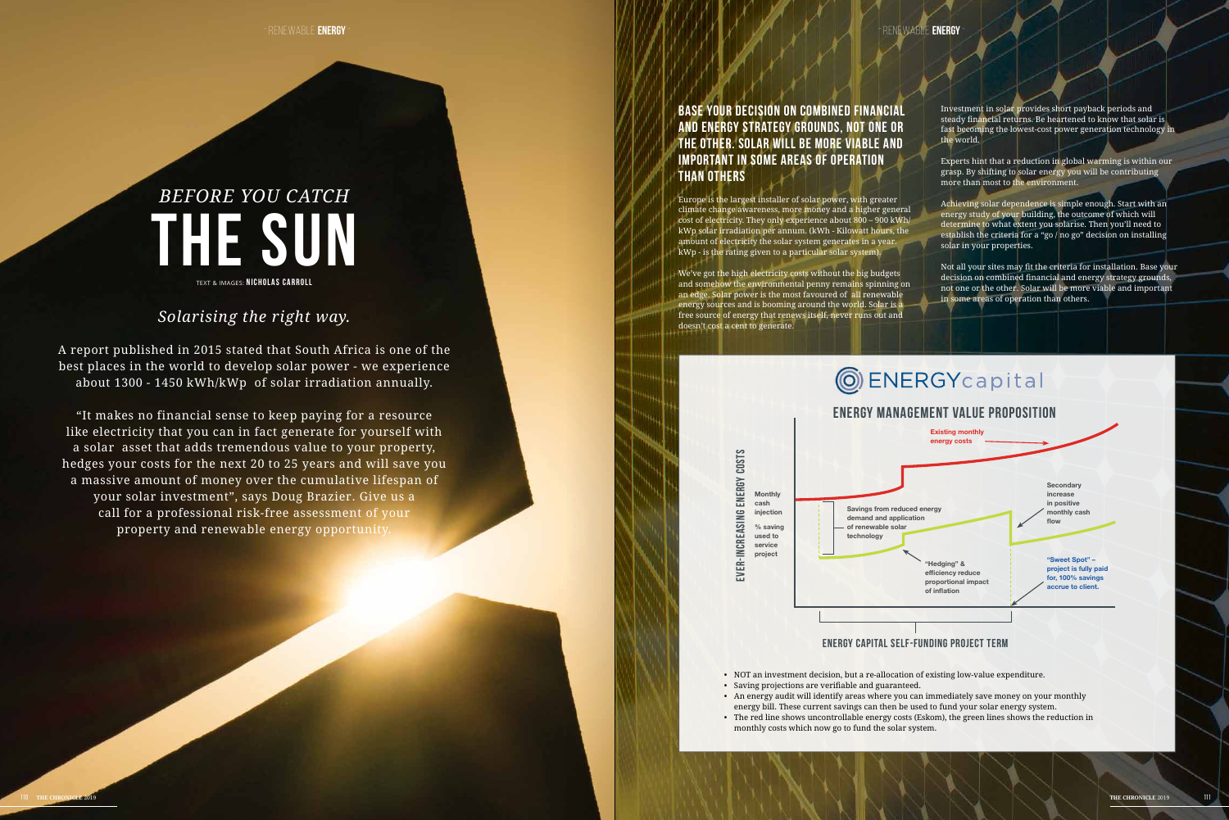# *BEFORE YOU CATCH* **THE SUN** TEXT & images: **NICHOLAS CARROLL**

## *Solarising the right way.*

A report published in 2015 stated that South Africa is one of the best places in the world to develop solar power - we experience about 1300 - 1450 kWh/kWp of solar irradiation annually.

"It makes no financial sense to keep paying for a resource like electricity that you can in fact generate for yourself with a solar asset that adds tremendous value to your property, hedges your costs for the next 20 to 25 years and will save you a massive amount of money over the cumulative lifespan of your solar investment", says Doug Brazier. Give us a call for a professional risk-free assessment of your property and renewable energy opportunity.

-renewable **Energy**-

Investment in solar provides short payback periods and steady financial returns. Be heartened to know that solar is fast becoming the lowest-cost power generation technology in the world.

## **Base your decision on combined financial and energy strategy grounds, not one or the other. Solar will be more viable and important in some areas of operation than others**

Europe is the largest installer of solar power, with greater climate change awareness, more money and a higher general cost of electricity. They only experience about 800 – 900 kWh/ kWp solar irradiation per annum. (kWh - Kilowatt hours, the amount of electricity the solar system generates in a year. kWp - is the rating given to a particular solar system).

We've got the high electricity costs without the big budgets and somehow the environmental penny remains spinning on an edge. Solar power is the most favoured of all renewable energy sources and is booming around the world. Solar is a free source of energy that renews itself, never runs out and doesn't cost a cent to generate.

> ENERGY COSTS **Ever-increasing energy costs** Monthly cash EVER-INCREASING injection % saving used to service project

- 
- 
- 

Experts hint that a reduction in global warming is within our grasp. By shifting to solar energy you will be contributing more than most to the environment.

Achieving solar dependence is simple enough. Start with an energy study of your building, the outcome of which will determine to what extent you solarise. Then you'll need to establish the criteria for a "go / no go" decision on installing solar in your properties.

Not all your sites may fit the criteria for installation. Base your decision on combined financial and energy strategy grounds, not one or the other. Solar will be more viable and important in some areas of operation than others.

# **OENERGY**capital

• NOT an investment decision, but a re-allocation of existing low-value expenditure.

• Saving projections are verifiable and guaranteed.

• An energy audit will identify areas where you can immediately save money on your monthly energy bill. These current savings can then be used to fund your solar energy system. • The red line shows uncontrollable energy costs (Eskom), the green lines shows the reduction in

monthly costs which now go to fund the solar system.





### **Energy capital self-funding project term**